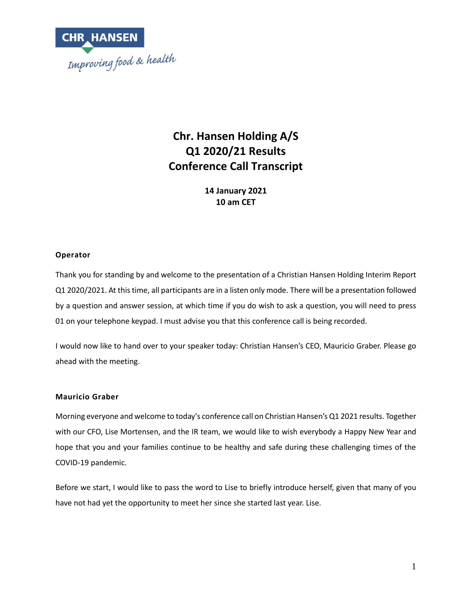

# **Chr. Hansen Holding A/S Q1 2020/21 Results Conference Call Transcript**

**14 January 2021 10 am CET**

## **Operator**

Thank you for standing by and welcome to the presentation of a Christian Hansen Holding Interim Report Q1 2020/2021. At this time, all participants are in a listen only mode. There will be a presentation followed by a question and answer session, at which time if you do wish to ask a question, you will need to press 01 on your telephone keypad. I must advise you that this conference call is being recorded.

I would now like to hand over to your speaker today: Christian Hansen's CEO, Mauricio Graber. Please go ahead with the meeting.

#### **Mauricio Graber**

Morning everyone and welcome to today's conference call on Christian Hansen's Q1 2021 results. Together with our CFO, Lise Mortensen, and the IR team, we would like to wish everybody a Happy New Year and hope that you and your families continue to be healthy and safe during these challenging times of the COVID-19 pandemic.

Before we start, I would like to pass the word to Lise to briefly introduce herself, given that many of you have not had yet the opportunity to meet her since she started last year. Lise.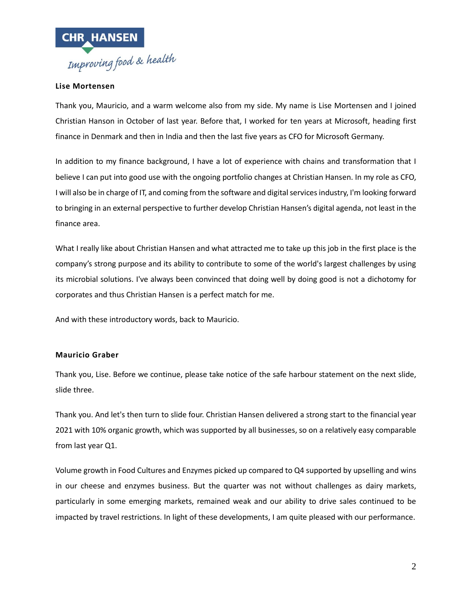

## **Lise Mortensen**

Thank you, Mauricio, and a warm welcome also from my side. My name is Lise Mortensen and I joined Christian Hanson in October of last year. Before that, I worked for ten years at Microsoft, heading first finance in Denmark and then in India and then the last five years as CFO for Microsoft Germany.

In addition to my finance background, I have a lot of experience with chains and transformation that I believe I can put into good use with the ongoing portfolio changes at Christian Hansen. In my role as CFO, I will also be in charge of IT, and coming from the software and digital services industry, I'm looking forward to bringing in an external perspective to further develop Christian Hansen's digital agenda, not least in the finance area.

What I really like about Christian Hansen and what attracted me to take up this job in the first place is the company's strong purpose and its ability to contribute to some of the world's largest challenges by using its microbial solutions. I've always been convinced that doing well by doing good is not a dichotomy for corporates and thus Christian Hansen is a perfect match for me.

And with these introductory words, back to Mauricio.

#### **Mauricio Graber**

Thank you, Lise. Before we continue, please take notice of the safe harbour statement on the next slide, slide three.

Thank you. And let's then turn to slide four. Christian Hansen delivered a strong start to the financial year 2021 with 10% organic growth, which was supported by all businesses, so on a relatively easy comparable from last year Q1.

Volume growth in Food Cultures and Enzymes picked up compared to Q4 supported by upselling and wins in our cheese and enzymes business. But the quarter was not without challenges as dairy markets, particularly in some emerging markets, remained weak and our ability to drive sales continued to be impacted by travel restrictions. In light of these developments, I am quite pleased with our performance.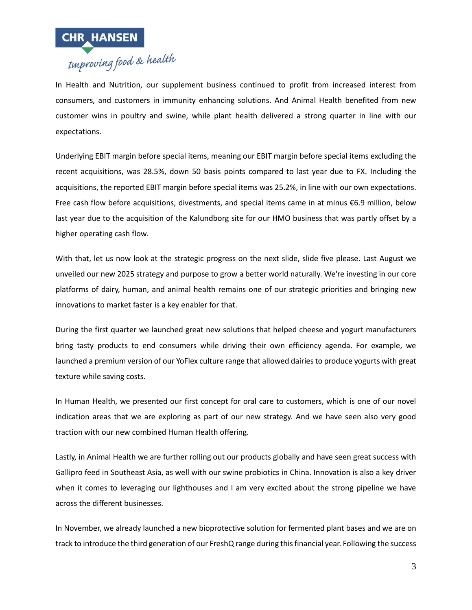

In Health and Nutrition, our supplement business continued to profit from increased interest from consumers, and customers in immunity enhancing solutions. And Animal Health benefited from new customer wins in poultry and swine, while plant health delivered a strong quarter in line with our expectations.

Underlying EBIT margin before special items, meaning our EBIT margin before special items excluding the recent acquisitions, was 28.5%, down 50 basis points compared to last year due to FX. Including the acquisitions, the reported EBIT margin before special items was 25.2%, in line with our own expectations. Free cash flow before acquisitions, divestments, and special items came in at minus €6.9 million, below last year due to the acquisition of the Kalundborg site for our HMO business that was partly offset by a higher operating cash flow.

With that, let us now look at the strategic progress on the next slide, slide five please. Last August we unveiled our new 2025 strategy and purpose to grow a better world naturally. We're investing in our core platforms of dairy, human, and animal health remains one of our strategic priorities and bringing new innovations to market faster is a key enabler for that.

During the first quarter we launched great new solutions that helped cheese and yogurt manufacturers bring tasty products to end consumers while driving their own efficiency agenda. For example, we launched a premium version of our YoFlex culture range that allowed dairies to produce yogurts with great texture while saving costs.

In Human Health, we presented our first concept for oral care to customers, which is one of our novel indication areas that we are exploring as part of our new strategy. And we have seen also very good traction with our new combined Human Health offering.

Lastly, in Animal Health we are further rolling out our products globally and have seen great success with Gallipro feed in Southeast Asia, as well with our swine probiotics in China. Innovation is also a key driver when it comes to leveraging our lighthouses and I am very excited about the strong pipeline we have across the different businesses.

In November, we already launched a new bioprotective solution for fermented plant bases and we are on track to introduce the third generation of our FreshQ range during this financial year. Following the success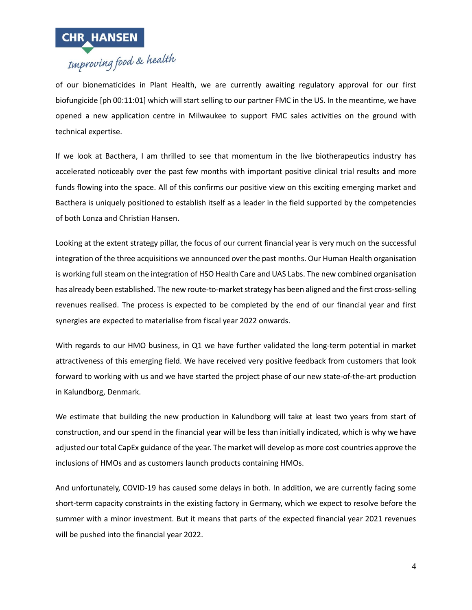

of our bionematicides in Plant Health, we are currently awaiting regulatory approval for our first biofungicide [ph 00:11:01] which will start selling to our partner FMC in the US. In the meantime, we have opened a new application centre in Milwaukee to support FMC sales activities on the ground with technical expertise.

If we look at Bacthera, I am thrilled to see that momentum in the live biotherapeutics industry has accelerated noticeably over the past few months with important positive clinical trial results and more funds flowing into the space. All of this confirms our positive view on this exciting emerging market and Bacthera is uniquely positioned to establish itself as a leader in the field supported by the competencies of both Lonza and Christian Hansen.

Looking at the extent strategy pillar, the focus of our current financial year is very much on the successful integration of the three acquisitions we announced over the past months. Our Human Health organisation is working full steam on the integration of HSO Health Care and UAS Labs. The new combined organisation has already been established. The new route-to-market strategy has been aligned and the first cross-selling revenues realised. The process is expected to be completed by the end of our financial year and first synergies are expected to materialise from fiscal year 2022 onwards.

With regards to our HMO business, in Q1 we have further validated the long-term potential in market attractiveness of this emerging field. We have received very positive feedback from customers that look forward to working with us and we have started the project phase of our new state-of-the-art production in Kalundborg, Denmark.

We estimate that building the new production in Kalundborg will take at least two years from start of construction, and our spend in the financial year will be less than initially indicated, which is why we have adjusted our total CapEx guidance of the year. The market will develop as more cost countries approve the inclusions of HMOs and as customers launch products containing HMOs.

And unfortunately, COVID-19 has caused some delays in both. In addition, we are currently facing some short-term capacity constraints in the existing factory in Germany, which we expect to resolve before the summer with a minor investment. But it means that parts of the expected financial year 2021 revenues will be pushed into the financial year 2022.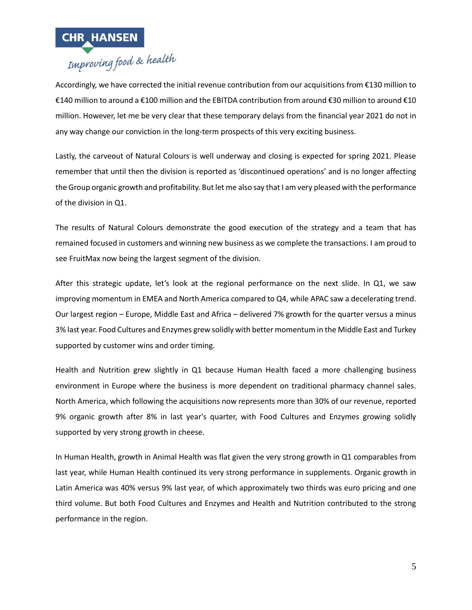

Accordingly, we have corrected the initial revenue contribution from our acquisitions from €130 million to €140 million to around a €100 million and the EBITDA contribution from around €30 million to around €10 million. However, let me be very clear that these temporary delays from the financial year 2021 do not in any way change our conviction in the long-term prospects of this very exciting business.

Lastly, the carveout of Natural Colours is well underway and closing is expected for spring 2021. Please remember that until then the division is reported as 'discontinued operations' and is no longer affecting the Group organic growth and profitability. But let me also say that I am very pleased with the performance of the division in Q1.

The results of Natural Colours demonstrate the good execution of the strategy and a team that has remained focused in customers and winning new business as we complete the transactions. I am proud to see FruitMax now being the largest segment of the division.

After this strategic update, let's look at the regional performance on the next slide. In Q1, we saw improving momentum in EMEA and North America compared to Q4, while APAC saw a decelerating trend. Our largest region – Europe, Middle East and Africa – delivered 7% growth for the quarter versus a minus 3% last year. Food Cultures and Enzymes grew solidly with better momentum in the Middle East and Turkey supported by customer wins and order timing.

Health and Nutrition grew slightly in Q1 because Human Health faced a more challenging business environment in Europe where the business is more dependent on traditional pharmacy channel sales. North America, which following the acquisitions now represents more than 30% of our revenue, reported 9% organic growth after 8% in last year's quarter, with Food Cultures and Enzymes growing solidly supported by very strong growth in cheese.

In Human Health, growth in Animal Health was flat given the very strong growth in Q1 comparables from last year, while Human Health continued its very strong performance in supplements. Organic growth in Latin America was 40% versus 9% last year, of which approximately two thirds was euro pricing and one third volume. But both Food Cultures and Enzymes and Health and Nutrition contributed to the strong performance in the region.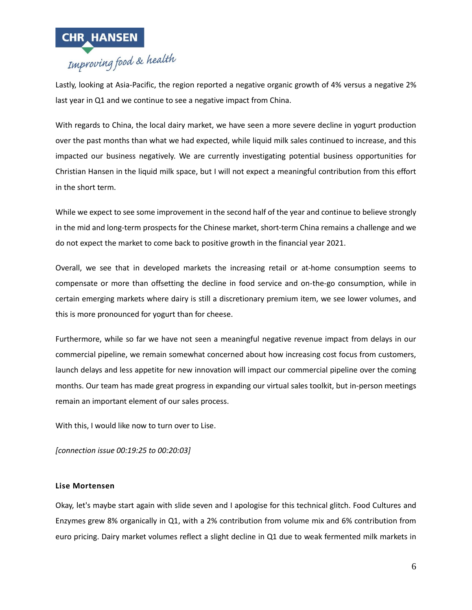

## Lastly, looking at Asia-Pacific, the region reported a negative organic growth of 4% versus a negative 2% last year in Q1 and we continue to see a negative impact from China.

With regards to China, the local dairy market, we have seen a more severe decline in yogurt production over the past months than what we had expected, while liquid milk sales continued to increase, and this impacted our business negatively. We are currently investigating potential business opportunities for Christian Hansen in the liquid milk space, but I will not expect a meaningful contribution from this effort in the short term.

While we expect to see some improvement in the second half of the year and continue to believe strongly in the mid and long-term prospects for the Chinese market, short-term China remains a challenge and we do not expect the market to come back to positive growth in the financial year 2021.

Overall, we see that in developed markets the increasing retail or at-home consumption seems to compensate or more than offsetting the decline in food service and on-the-go consumption, while in certain emerging markets where dairy is still a discretionary premium item, we see lower volumes, and this is more pronounced for yogurt than for cheese.

Furthermore, while so far we have not seen a meaningful negative revenue impact from delays in our commercial pipeline, we remain somewhat concerned about how increasing cost focus from customers, launch delays and less appetite for new innovation will impact our commercial pipeline over the coming months. Our team has made great progress in expanding our virtual sales toolkit, but in-person meetings remain an important element of our sales process.

With this, I would like now to turn over to Lise.

*[connection issue 00:19:25 to 00:20:03]*

## **Lise Mortensen**

Okay, let's maybe start again with slide seven and I apologise for this technical glitch. Food Cultures and Enzymes grew 8% organically in Q1, with a 2% contribution from volume mix and 6% contribution from euro pricing. Dairy market volumes reflect a slight decline in Q1 due to weak fermented milk markets in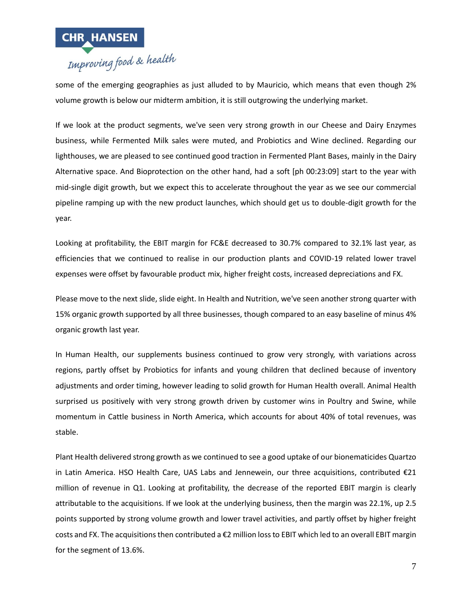

some of the emerging geographies as just alluded to by Mauricio, which means that even though 2% volume growth is below our midterm ambition, it is still outgrowing the underlying market.

If we look at the product segments, we've seen very strong growth in our Cheese and Dairy Enzymes business, while Fermented Milk sales were muted, and Probiotics and Wine declined. Regarding our lighthouses, we are pleased to see continued good traction in Fermented Plant Bases, mainly in the Dairy Alternative space. And Bioprotection on the other hand, had a soft [ph 00:23:09] start to the year with mid-single digit growth, but we expect this to accelerate throughout the year as we see our commercial pipeline ramping up with the new product launches, which should get us to double-digit growth for the year.

Looking at profitability, the EBIT margin for FC&E decreased to 30.7% compared to 32.1% last year, as efficiencies that we continued to realise in our production plants and COVID-19 related lower travel expenses were offset by favourable product mix, higher freight costs, increased depreciations and FX.

Please move to the next slide, slide eight. In Health and Nutrition, we've seen another strong quarter with 15% organic growth supported by all three businesses, though compared to an easy baseline of minus 4% organic growth last year.

In Human Health, our supplements business continued to grow very strongly, with variations across regions, partly offset by Probiotics for infants and young children that declined because of inventory adjustments and order timing, however leading to solid growth for Human Health overall. Animal Health surprised us positively with very strong growth driven by customer wins in Poultry and Swine, while momentum in Cattle business in North America, which accounts for about 40% of total revenues, was stable.

Plant Health delivered strong growth as we continued to see a good uptake of our bionematicides Quartzo in Latin America. HSO Health Care, UAS Labs and Jennewein, our three acquisitions, contributed €21 million of revenue in Q1. Looking at profitability, the decrease of the reported EBIT margin is clearly attributable to the acquisitions. If we look at the underlying business, then the margin was 22.1%, up 2.5 points supported by strong volume growth and lower travel activities, and partly offset by higher freight costs and FX. The acquisitions then contributed a €2 million loss to EBIT which led to an overall EBIT margin for the segment of 13.6%.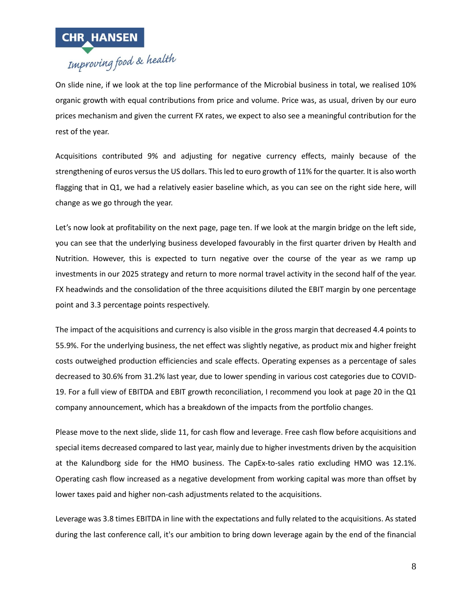

On slide nine, if we look at the top line performance of the Microbial business in total, we realised 10% organic growth with equal contributions from price and volume. Price was, as usual, driven by our euro prices mechanism and given the current FX rates, we expect to also see a meaningful contribution for the rest of the year.

Acquisitions contributed 9% and adjusting for negative currency effects, mainly because of the strengthening of euros versus the US dollars. This led to euro growth of 11% for the quarter. It is also worth flagging that in Q1, we had a relatively easier baseline which, as you can see on the right side here, will change as we go through the year.

Let's now look at profitability on the next page, page ten. If we look at the margin bridge on the left side, you can see that the underlying business developed favourably in the first quarter driven by Health and Nutrition. However, this is expected to turn negative over the course of the year as we ramp up investments in our 2025 strategy and return to more normal travel activity in the second half of the year. FX headwinds and the consolidation of the three acquisitions diluted the EBIT margin by one percentage point and 3.3 percentage points respectively.

The impact of the acquisitions and currency is also visible in the gross margin that decreased 4.4 points to 55.9%. For the underlying business, the net effect was slightly negative, as product mix and higher freight costs outweighed production efficiencies and scale effects. Operating expenses as a percentage of sales decreased to 30.6% from 31.2% last year, due to lower spending in various cost categories due to COVID-19. For a full view of EBITDA and EBIT growth reconciliation, I recommend you look at page 20 in the Q1 company announcement, which has a breakdown of the impacts from the portfolio changes.

Please move to the next slide, slide 11, for cash flow and leverage. Free cash flow before acquisitions and special items decreased compared to last year, mainly due to higher investments driven by the acquisition at the Kalundborg side for the HMO business. The CapEx-to-sales ratio excluding HMO was 12.1%. Operating cash flow increased as a negative development from working capital was more than offset by lower taxes paid and higher non-cash adjustments related to the acquisitions.

Leverage was 3.8 times EBITDA in line with the expectations and fully related to the acquisitions. As stated during the last conference call, it's our ambition to bring down leverage again by the end of the financial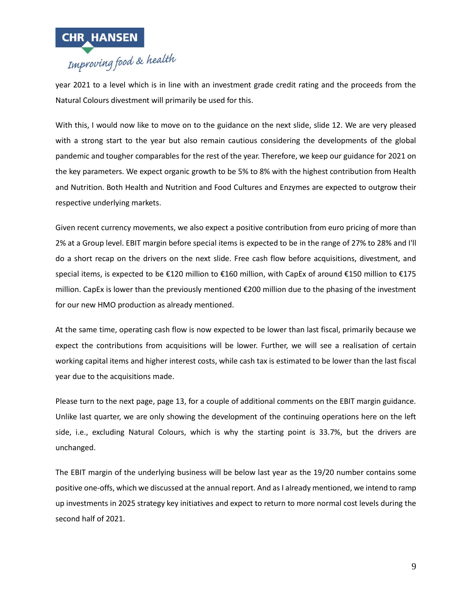

year 2021 to a level which is in line with an investment grade credit rating and the proceeds from the Natural Colours divestment will primarily be used for this.

With this, I would now like to move on to the guidance on the next slide, slide 12. We are very pleased with a strong start to the year but also remain cautious considering the developments of the global pandemic and tougher comparables for the rest of the year. Therefore, we keep our guidance for 2021 on the key parameters. We expect organic growth to be 5% to 8% with the highest contribution from Health and Nutrition. Both Health and Nutrition and Food Cultures and Enzymes are expected to outgrow their respective underlying markets.

Given recent currency movements, we also expect a positive contribution from euro pricing of more than 2% at a Group level. EBIT margin before special items is expected to be in the range of 27% to 28% and I'll do a short recap on the drivers on the next slide. Free cash flow before acquisitions, divestment, and special items, is expected to be €120 million to €160 million, with CapEx of around €150 million to €175 million. CapEx is lower than the previously mentioned €200 million due to the phasing of the investment for our new HMO production as already mentioned.

At the same time, operating cash flow is now expected to be lower than last fiscal, primarily because we expect the contributions from acquisitions will be lower. Further, we will see a realisation of certain working capital items and higher interest costs, while cash tax is estimated to be lower than the last fiscal year due to the acquisitions made.

Please turn to the next page, page 13, for a couple of additional comments on the EBIT margin guidance. Unlike last quarter, we are only showing the development of the continuing operations here on the left side, i.e., excluding Natural Colours, which is why the starting point is 33.7%, but the drivers are unchanged.

The EBIT margin of the underlying business will be below last year as the 19/20 number contains some positive one-offs, which we discussed at the annual report. And as I already mentioned, we intend to ramp up investments in 2025 strategy key initiatives and expect to return to more normal cost levels during the second half of 2021.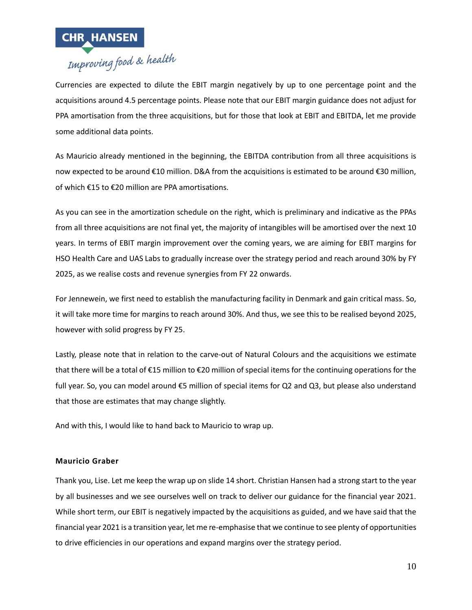

Currencies are expected to dilute the EBIT margin negatively by up to one percentage point and the acquisitions around 4.5 percentage points. Please note that our EBIT margin guidance does not adjust for PPA amortisation from the three acquisitions, but for those that look at EBIT and EBITDA, let me provide some additional data points.

As Mauricio already mentioned in the beginning, the EBITDA contribution from all three acquisitions is now expected to be around €10 million. D&A from the acquisitions is estimated to be around €30 million, of which €15 to €20 million are PPA amortisations.

As you can see in the amortization schedule on the right, which is preliminary and indicative as the PPAs from all three acquisitions are not final yet, the majority of intangibles will be amortised over the next 10 years. In terms of EBIT margin improvement over the coming years, we are aiming for EBIT margins for HSO Health Care and UAS Labs to gradually increase over the strategy period and reach around 30% by FY 2025, as we realise costs and revenue synergies from FY 22 onwards.

For Jennewein, we first need to establish the manufacturing facility in Denmark and gain critical mass. So, it will take more time for margins to reach around 30%. And thus, we see this to be realised beyond 2025, however with solid progress by FY 25.

Lastly, please note that in relation to the carve-out of Natural Colours and the acquisitions we estimate that there will be a total of €15 million to €20 million of special items for the continuing operations for the full year. So, you can model around €5 million of special items for Q2 and Q3, but please also understand that those are estimates that may change slightly.

And with this, I would like to hand back to Mauricio to wrap up.

#### **Mauricio Graber**

Thank you, Lise. Let me keep the wrap up on slide 14 short. Christian Hansen had a strong start to the year by all businesses and we see ourselves well on track to deliver our guidance for the financial year 2021. While short term, our EBIT is negatively impacted by the acquisitions as guided, and we have said that the financial year 2021 is a transition year, let me re-emphasise that we continue to see plenty of opportunities to drive efficiencies in our operations and expand margins over the strategy period.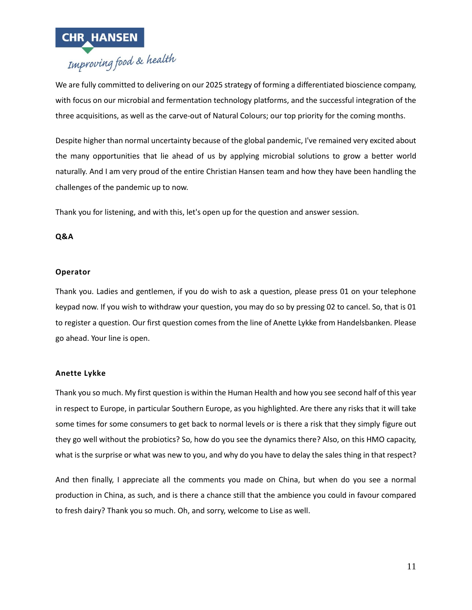

We are fully committed to delivering on our 2025 strategy of forming a differentiated bioscience company, with focus on our microbial and fermentation technology platforms, and the successful integration of the three acquisitions, as well as the carve-out of Natural Colours; our top priority for the coming months.

Despite higher than normal uncertainty because of the global pandemic, I've remained very excited about the many opportunities that lie ahead of us by applying microbial solutions to grow a better world naturally. And I am very proud of the entire Christian Hansen team and how they have been handling the challenges of the pandemic up to now.

Thank you for listening, and with this, let's open up for the question and answer session.

## **Q&A**

## **Operator**

Thank you. Ladies and gentlemen, if you do wish to ask a question, please press 01 on your telephone keypad now. If you wish to withdraw your question, you may do so by pressing 02 to cancel. So, that is 01 to register a question. Our first question comes from the line of Anette Lykke from Handelsbanken. Please go ahead. Your line is open.

## **Anette Lykke**

Thank you so much. My first question is within the Human Health and how you see second half of this year in respect to Europe, in particular Southern Europe, as you highlighted. Are there any risks that it will take some times for some consumers to get back to normal levels or is there a risk that they simply figure out they go well without the probiotics? So, how do you see the dynamics there? Also, on this HMO capacity, what is the surprise or what was new to you, and why do you have to delay the sales thing in that respect?

And then finally, I appreciate all the comments you made on China, but when do you see a normal production in China, as such, and is there a chance still that the ambience you could in favour compared to fresh dairy? Thank you so much. Oh, and sorry, welcome to Lise as well.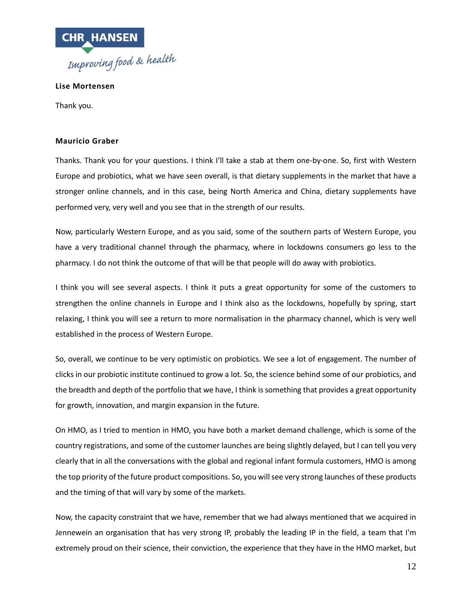

**Lise Mortensen**

Thank you.

#### **Mauricio Graber**

Thanks. Thank you for your questions. I think I'll take a stab at them one-by-one. So, first with Western Europe and probiotics, what we have seen overall, is that dietary supplements in the market that have a stronger online channels, and in this case, being North America and China, dietary supplements have performed very, very well and you see that in the strength of our results.

Now, particularly Western Europe, and as you said, some of the southern parts of Western Europe, you have a very traditional channel through the pharmacy, where in lockdowns consumers go less to the pharmacy. I do not think the outcome of that will be that people will do away with probiotics.

I think you will see several aspects. I think it puts a great opportunity for some of the customers to strengthen the online channels in Europe and I think also as the lockdowns, hopefully by spring, start relaxing, I think you will see a return to more normalisation in the pharmacy channel, which is very well established in the process of Western Europe.

So, overall, we continue to be very optimistic on probiotics. We see a lot of engagement. The number of clicks in our probiotic institute continued to grow a lot. So, the science behind some of our probiotics, and the breadth and depth of the portfolio that we have, I think is something that provides a great opportunity for growth, innovation, and margin expansion in the future.

On HMO, as I tried to mention in HMO, you have both a market demand challenge, which is some of the country registrations, and some of the customer launches are being slightly delayed, but I can tell you very clearly that in all the conversations with the global and regional infant formula customers, HMO is among the top priority of the future product compositions. So, you will see very strong launches of these products and the timing of that will vary by some of the markets.

Now, the capacity constraint that we have, remember that we had always mentioned that we acquired in Jennewein an organisation that has very strong IP, probably the leading IP in the field, a team that I'm extremely proud on their science, their conviction, the experience that they have in the HMO market, but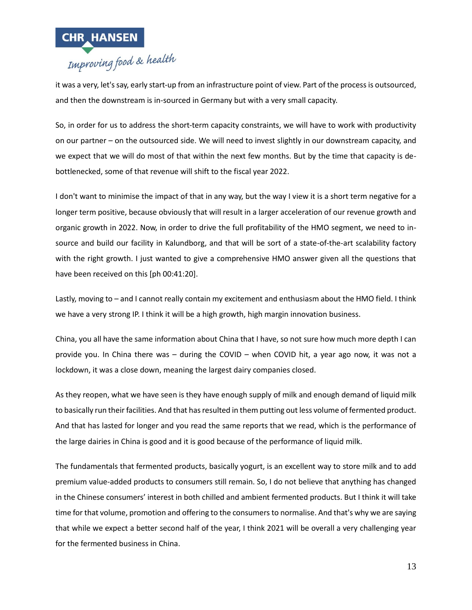

it was a very, let's say, early start-up from an infrastructure point of view. Part of the process is outsourced, and then the downstream is in-sourced in Germany but with a very small capacity.

So, in order for us to address the short-term capacity constraints, we will have to work with productivity on our partner – on the outsourced side. We will need to invest slightly in our downstream capacity, and we expect that we will do most of that within the next few months. But by the time that capacity is debottlenecked, some of that revenue will shift to the fiscal year 2022.

I don't want to minimise the impact of that in any way, but the way I view it is a short term negative for a longer term positive, because obviously that will result in a larger acceleration of our revenue growth and organic growth in 2022. Now, in order to drive the full profitability of the HMO segment, we need to insource and build our facility in Kalundborg, and that will be sort of a state-of-the-art scalability factory with the right growth. I just wanted to give a comprehensive HMO answer given all the questions that have been received on this [ph 00:41:20].

Lastly, moving to – and I cannot really contain my excitement and enthusiasm about the HMO field. I think we have a very strong IP. I think it will be a high growth, high margin innovation business.

China, you all have the same information about China that I have, so not sure how much more depth I can provide you. In China there was – during the COVID – when COVID hit, a year ago now, it was not a lockdown, it was a close down, meaning the largest dairy companies closed.

As they reopen, what we have seen is they have enough supply of milk and enough demand of liquid milk to basically run their facilities. And that has resulted in them putting out less volume of fermented product. And that has lasted for longer and you read the same reports that we read, which is the performance of the large dairies in China is good and it is good because of the performance of liquid milk.

The fundamentals that fermented products, basically yogurt, is an excellent way to store milk and to add premium value-added products to consumers still remain. So, I do not believe that anything has changed in the Chinese consumers' interest in both chilled and ambient fermented products. But I think it will take time for that volume, promotion and offering to the consumers to normalise. And that's why we are saying that while we expect a better second half of the year, I think 2021 will be overall a very challenging year for the fermented business in China.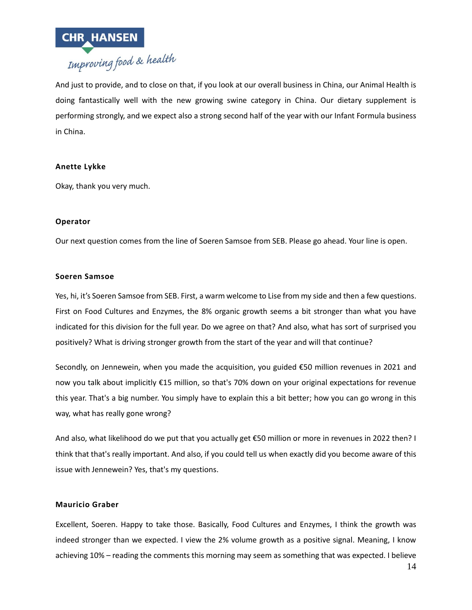

And just to provide, and to close on that, if you look at our overall business in China, our Animal Health is doing fantastically well with the new growing swine category in China. Our dietary supplement is performing strongly, and we expect also a strong second half of the year with our Infant Formula business in China.

#### **Anette Lykke**

Okay, thank you very much.

#### **Operator**

Our next question comes from the line of Soeren Samsoe from SEB. Please go ahead. Your line is open.

#### **Soeren Samsoe**

Yes, hi, it's Soeren Samsoe from SEB. First, a warm welcome to Lise from my side and then a few questions. First on Food Cultures and Enzymes, the 8% organic growth seems a bit stronger than what you have indicated for this division for the full year. Do we agree on that? And also, what has sort of surprised you positively? What is driving stronger growth from the start of the year and will that continue?

Secondly, on Jennewein, when you made the acquisition, you guided €50 million revenues in 2021 and now you talk about implicitly €15 million, so that's 70% down on your original expectations for revenue this year. That's a big number. You simply have to explain this a bit better; how you can go wrong in this way, what has really gone wrong?

And also, what likelihood do we put that you actually get €50 million or more in revenues in 2022 then? I think that that's really important. And also, if you could tell us when exactly did you become aware of this issue with Jennewein? Yes, that's my questions.

#### **Mauricio Graber**

Excellent, Soeren. Happy to take those. Basically, Food Cultures and Enzymes, I think the growth was indeed stronger than we expected. I view the 2% volume growth as a positive signal. Meaning, I know achieving 10% – reading the comments this morning may seem as something that was expected. I believe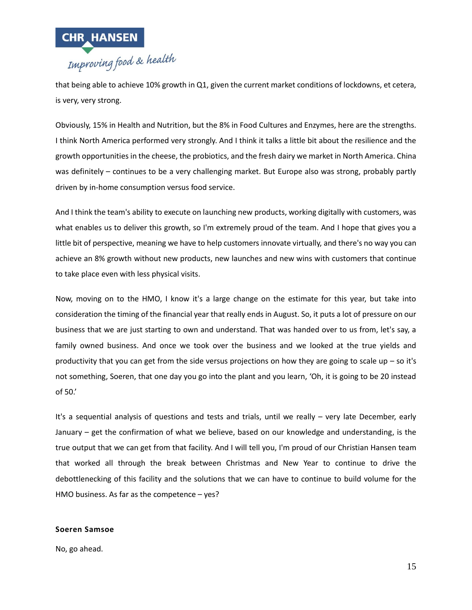

that being able to achieve 10% growth in Q1, given the current market conditions of lockdowns, et cetera, is very, very strong.

Obviously, 15% in Health and Nutrition, but the 8% in Food Cultures and Enzymes, here are the strengths. I think North America performed very strongly. And I think it talks a little bit about the resilience and the growth opportunities in the cheese, the probiotics, and the fresh dairy we market in North America. China was definitely – continues to be a very challenging market. But Europe also was strong, probably partly driven by in-home consumption versus food service.

And I think the team's ability to execute on launching new products, working digitally with customers, was what enables us to deliver this growth, so I'm extremely proud of the team. And I hope that gives you a little bit of perspective, meaning we have to help customers innovate virtually, and there's no way you can achieve an 8% growth without new products, new launches and new wins with customers that continue to take place even with less physical visits.

Now, moving on to the HMO, I know it's a large change on the estimate for this year, but take into consideration the timing of the financial year that really ends in August. So, it puts a lot of pressure on our business that we are just starting to own and understand. That was handed over to us from, let's say, a family owned business. And once we took over the business and we looked at the true yields and productivity that you can get from the side versus projections on how they are going to scale up – so it's not something, Soeren, that one day you go into the plant and you learn, 'Oh, it is going to be 20 instead of 50.'

It's a sequential analysis of questions and tests and trials, until we really – very late December, early January – get the confirmation of what we believe, based on our knowledge and understanding, is the true output that we can get from that facility. And I will tell you, I'm proud of our Christian Hansen team that worked all through the break between Christmas and New Year to continue to drive the debottlenecking of this facility and the solutions that we can have to continue to build volume for the HMO business. As far as the competence – yes?

#### **Soeren Samsoe**

No, go ahead.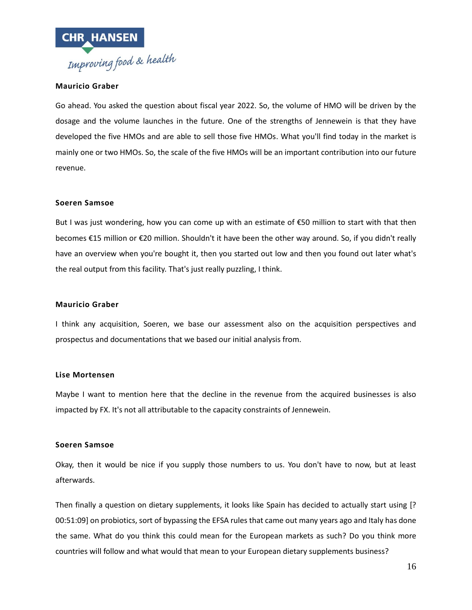

#### **Mauricio Graber**

Go ahead. You asked the question about fiscal year 2022. So, the volume of HMO will be driven by the dosage and the volume launches in the future. One of the strengths of Jennewein is that they have developed the five HMOs and are able to sell those five HMOs. What you'll find today in the market is mainly one or two HMOs. So, the scale of the five HMOs will be an important contribution into our future revenue.

#### **Soeren Samsoe**

But I was just wondering, how you can come up with an estimate of €50 million to start with that then becomes €15 million or €20 million. Shouldn't it have been the other way around. So, if you didn't really have an overview when you're bought it, then you started out low and then you found out later what's the real output from this facility. That's just really puzzling, I think.

#### **Mauricio Graber**

I think any acquisition, Soeren, we base our assessment also on the acquisition perspectives and prospectus and documentations that we based our initial analysis from.

#### **Lise Mortensen**

Maybe I want to mention here that the decline in the revenue from the acquired businesses is also impacted by FX. It's not all attributable to the capacity constraints of Jennewein.

#### **Soeren Samsoe**

Okay, then it would be nice if you supply those numbers to us. You don't have to now, but at least afterwards.

Then finally a question on dietary supplements, it looks like Spain has decided to actually start using [? 00:51:09] on probiotics, sort of bypassing the EFSA rules that came out many years ago and Italy has done the same. What do you think this could mean for the European markets as such? Do you think more countries will follow and what would that mean to your European dietary supplements business?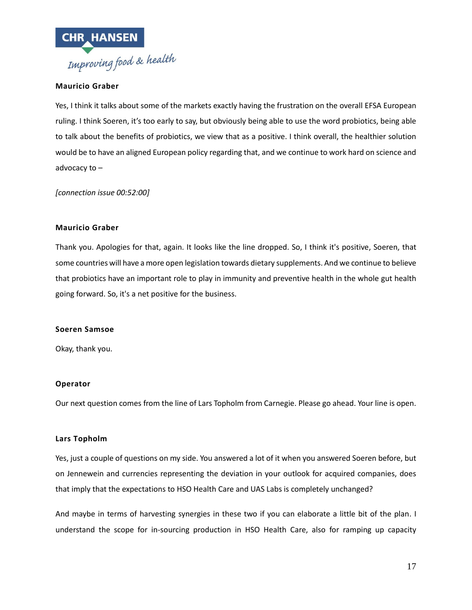

#### **Mauricio Graber**

Yes, I think it talks about some of the markets exactly having the frustration on the overall EFSA European ruling. I think Soeren, it's too early to say, but obviously being able to use the word probiotics, being able to talk about the benefits of probiotics, we view that as a positive. I think overall, the healthier solution would be to have an aligned European policy regarding that, and we continue to work hard on science and advocacy to –

*[connection issue 00:52:00]*

#### **Mauricio Graber**

Thank you. Apologies for that, again. It looks like the line dropped. So, I think it's positive, Soeren, that some countries will have a more open legislation towards dietary supplements. And we continue to believe that probiotics have an important role to play in immunity and preventive health in the whole gut health going forward. So, it's a net positive for the business.

#### **Soeren Samsoe**

Okay, thank you.

#### **Operator**

Our next question comes from the line of Lars Topholm from Carnegie. Please go ahead. Your line is open.

#### **Lars Topholm**

Yes, just a couple of questions on my side. You answered a lot of it when you answered Soeren before, but on Jennewein and currencies representing the deviation in your outlook for acquired companies, does that imply that the expectations to HSO Health Care and UAS Labs is completely unchanged?

And maybe in terms of harvesting synergies in these two if you can elaborate a little bit of the plan. I understand the scope for in-sourcing production in HSO Health Care, also for ramping up capacity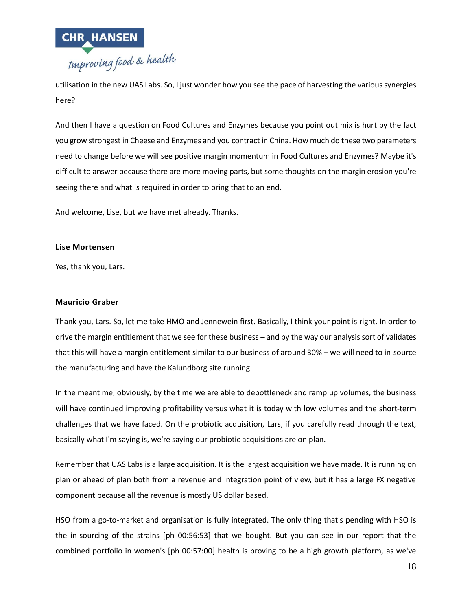

utilisation in the new UAS Labs. So, I just wonder how you see the pace of harvesting the various synergies here?

And then I have a question on Food Cultures and Enzymes because you point out mix is hurt by the fact you grow strongest in Cheese and Enzymes and you contract in China. How much do these two parameters need to change before we will see positive margin momentum in Food Cultures and Enzymes? Maybe it's difficult to answer because there are more moving parts, but some thoughts on the margin erosion you're seeing there and what is required in order to bring that to an end.

And welcome, Lise, but we have met already. Thanks.

#### **Lise Mortensen**

Yes, thank you, Lars.

#### **Mauricio Graber**

Thank you, Lars. So, let me take HMO and Jennewein first. Basically, I think your point is right. In order to drive the margin entitlement that we see for these business – and by the way our analysis sort of validates that this will have a margin entitlement similar to our business of around 30% – we will need to in-source the manufacturing and have the Kalundborg site running.

In the meantime, obviously, by the time we are able to debottleneck and ramp up volumes, the business will have continued improving profitability versus what it is today with low volumes and the short-term challenges that we have faced. On the probiotic acquisition, Lars, if you carefully read through the text, basically what I'm saying is, we're saying our probiotic acquisitions are on plan.

Remember that UAS Labs is a large acquisition. It is the largest acquisition we have made. It is running on plan or ahead of plan both from a revenue and integration point of view, but it has a large FX negative component because all the revenue is mostly US dollar based.

HSO from a go-to-market and organisation is fully integrated. The only thing that's pending with HSO is the in-sourcing of the strains [ph 00:56:53] that we bought. But you can see in our report that the combined portfolio in women's [ph 00:57:00] health is proving to be a high growth platform, as we've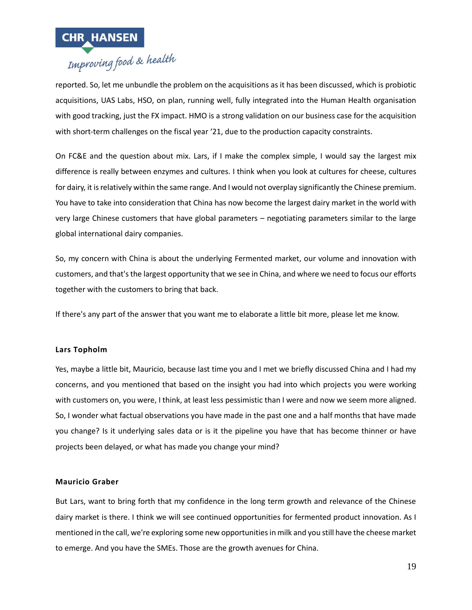

# **CHR HANSEN**<br>Improving food & health

reported. So, let me unbundle the problem on the acquisitions as it has been discussed, which is probiotic acquisitions, UAS Labs, HSO, on plan, running well, fully integrated into the Human Health organisation with good tracking, just the FX impact. HMO is a strong validation on our business case for the acquisition with short-term challenges on the fiscal year '21, due to the production capacity constraints.

On FC&E and the question about mix. Lars, if I make the complex simple, I would say the largest mix difference is really between enzymes and cultures. I think when you look at cultures for cheese, cultures for dairy, it is relatively within the same range. And I would not overplay significantly the Chinese premium. You have to take into consideration that China has now become the largest dairy market in the world with very large Chinese customers that have global parameters – negotiating parameters similar to the large global international dairy companies.

So, my concern with China is about the underlying Fermented market, our volume and innovation with customers, and that's the largest opportunity that we see in China, and where we need to focus our efforts together with the customers to bring that back.

If there's any part of the answer that you want me to elaborate a little bit more, please let me know.

#### **Lars Topholm**

Yes, maybe a little bit, Mauricio, because last time you and I met we briefly discussed China and I had my concerns, and you mentioned that based on the insight you had into which projects you were working with customers on, you were, I think, at least less pessimistic than I were and now we seem more aligned. So, I wonder what factual observations you have made in the past one and a half months that have made you change? Is it underlying sales data or is it the pipeline you have that has become thinner or have projects been delayed, or what has made you change your mind?

#### **Mauricio Graber**

But Lars, want to bring forth that my confidence in the long term growth and relevance of the Chinese dairy market is there. I think we will see continued opportunities for fermented product innovation. As I mentioned in the call, we're exploring some new opportunities in milk and you still have the cheese market to emerge. And you have the SMEs. Those are the growth avenues for China.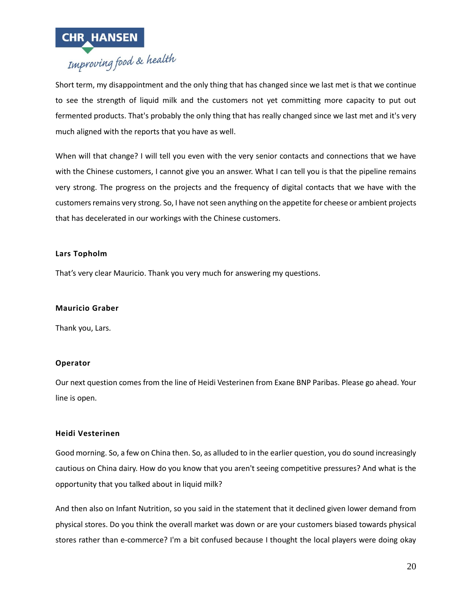

Short term, my disappointment and the only thing that has changed since we last met is that we continue to see the strength of liquid milk and the customers not yet committing more capacity to put out fermented products. That's probably the only thing that has really changed since we last met and it's very much aligned with the reports that you have as well.

When will that change? I will tell you even with the very senior contacts and connections that we have with the Chinese customers, I cannot give you an answer. What I can tell you is that the pipeline remains very strong. The progress on the projects and the frequency of digital contacts that we have with the customers remains very strong. So, I have not seen anything on the appetite for cheese or ambient projects that has decelerated in our workings with the Chinese customers.

## **Lars Topholm**

That's very clear Mauricio. Thank you very much for answering my questions.

#### **Mauricio Graber**

Thank you, Lars.

## **Operator**

Our next question comes from the line of Heidi Vesterinen from Exane BNP Paribas. Please go ahead. Your line is open.

#### **Heidi Vesterinen**

Good morning. So, a few on China then. So, as alluded to in the earlier question, you do sound increasingly cautious on China dairy. How do you know that you aren't seeing competitive pressures? And what is the opportunity that you talked about in liquid milk?

And then also on Infant Nutrition, so you said in the statement that it declined given lower demand from physical stores. Do you think the overall market was down or are your customers biased towards physical stores rather than e-commerce? I'm a bit confused because I thought the local players were doing okay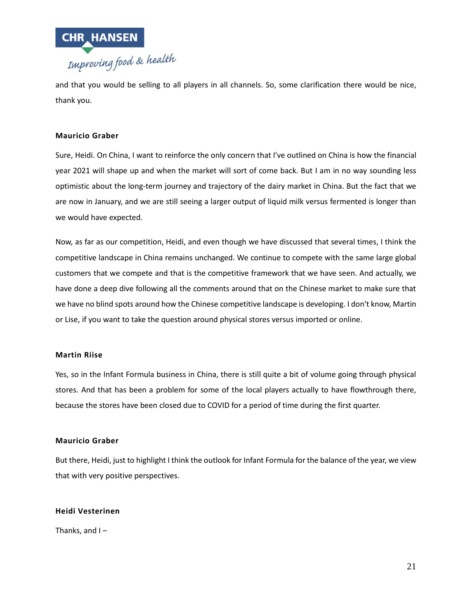

and that you would be selling to all players in all channels. So, some clarification there would be nice, thank you.

#### **Mauricio Graber**

Sure, Heidi. On China, I want to reinforce the only concern that I've outlined on China is how the financial year 2021 will shape up and when the market will sort of come back. But I am in no way sounding less optimistic about the long-term journey and trajectory of the dairy market in China. But the fact that we are now in January, and we are still seeing a larger output of liquid milk versus fermented is longer than we would have expected.

Now, as far as our competition, Heidi, and even though we have discussed that several times, I think the competitive landscape in China remains unchanged. We continue to compete with the same large global customers that we compete and that is the competitive framework that we have seen. And actually, we have done a deep dive following all the comments around that on the Chinese market to make sure that we have no blind spots around how the Chinese competitive landscape is developing. I don't know, Martin or Lise, if you want to take the question around physical stores versus imported or online.

#### **Martin Riise**

Yes, so in the Infant Formula business in China, there is still quite a bit of volume going through physical stores. And that has been a problem for some of the local players actually to have flowthrough there, because the stores have been closed due to COVID for a period of time during the first quarter.

#### **Mauricio Graber**

But there, Heidi, just to highlight I think the outlook for Infant Formula for the balance of the year, we view that with very positive perspectives.

#### **Heidi Vesterinen**

Thanks, and I –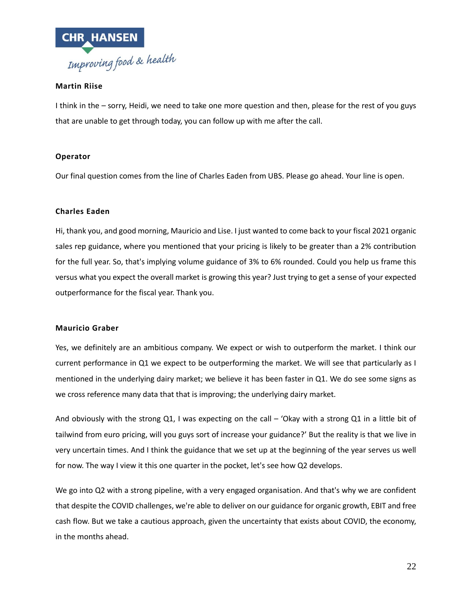

## **Martin Riise**

I think in the – sorry, Heidi, we need to take one more question and then, please for the rest of you guys that are unable to get through today, you can follow up with me after the call.

#### **Operator**

Our final question comes from the line of Charles Eaden from UBS. Please go ahead. Your line is open.

#### **Charles Eaden**

Hi, thank you, and good morning, Mauricio and Lise. I just wanted to come back to your fiscal 2021 organic sales rep guidance, where you mentioned that your pricing is likely to be greater than a 2% contribution for the full year. So, that's implying volume guidance of 3% to 6% rounded. Could you help us frame this versus what you expect the overall market is growing this year? Just trying to get a sense of your expected outperformance for the fiscal year. Thank you.

#### **Mauricio Graber**

Yes, we definitely are an ambitious company. We expect or wish to outperform the market. I think our current performance in Q1 we expect to be outperforming the market. We will see that particularly as I mentioned in the underlying dairy market; we believe it has been faster in Q1. We do see some signs as we cross reference many data that that is improving; the underlying dairy market.

And obviously with the strong Q1, I was expecting on the call - 'Okay with a strong Q1 in a little bit of tailwind from euro pricing, will you guys sort of increase your guidance?' But the reality is that we live in very uncertain times. And I think the guidance that we set up at the beginning of the year serves us well for now. The way I view it this one quarter in the pocket, let's see how Q2 develops.

We go into Q2 with a strong pipeline, with a very engaged organisation. And that's why we are confident that despite the COVID challenges, we're able to deliver on our guidance for organic growth, EBIT and free cash flow. But we take a cautious approach, given the uncertainty that exists about COVID, the economy, in the months ahead.